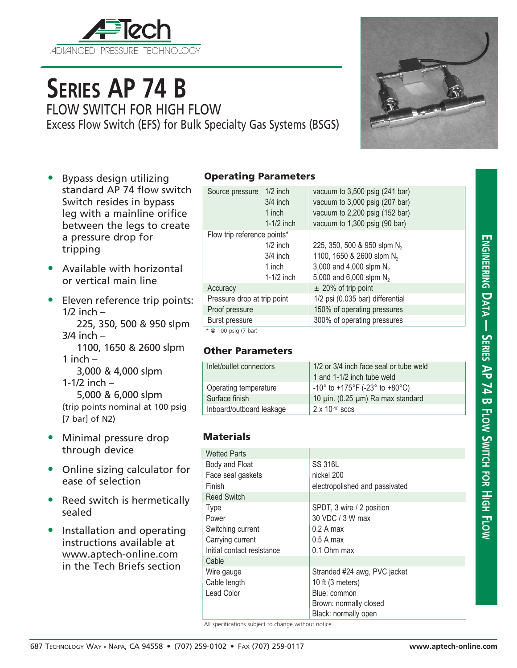

# **Series AP 74 B**

FLOW SWITCH FOR HIGH FLOW Excess Flow Switch (EFS) for Bulk Specialty Gas Systems (BSGS)



- Bypass design utilizing standard AP 74 flow switch Switch resides in bypass leg with a mainline orifice between the legs to create a pressure drop for tripping
- Available with horizontal or vertical main line
- Eleven reference trip points:  $1/2$  inch  $-$  225, 350, 500 & 950 slpm  $3/4$  inch  $-$  1100, 1650 & 2600 slpm 1 inch  $-$  3,000 & 4,000 slpm 1-1/2 inch – 5,000 & 6,000 slpm (trip points nominal at 100 psig
- Minimal pressure drop through device

[7 bar] of N2)

- Online sizing calculator for ease of selection
- Reed switch is hermetically sealed
- Installation and operating instructions available at www.aptech-online.com in the Tech Briefs section

## Operating Parameters

| $1/2$ inch<br>Source pressure<br>$3/4$ inch<br>1 inch<br>$1-1/2$ inch | vacuum to 3,500 psig (241 bar)<br>vacuum to 3,000 psig (207 bar)<br>vacuum to 2,200 psig (152 bar)<br>vacuum to 1,300 psig (90 bar) |  |
|-----------------------------------------------------------------------|-------------------------------------------------------------------------------------------------------------------------------------|--|
| Flow trip reference points*                                           |                                                                                                                                     |  |
| $1/2$ inch                                                            | 225, 350, 500 & 950 slpm N <sub>2</sub>                                                                                             |  |
| $3/4$ inch                                                            | 1100, 1650 & 2600 slpm N <sub>2</sub>                                                                                               |  |
| 1 inch                                                                | 3,000 and 4,000 slpm N <sub>2</sub>                                                                                                 |  |
| $1-1/2$ inch                                                          | 5,000 and 6,000 slpm N <sub>2</sub>                                                                                                 |  |
| Accuracy                                                              | $\pm$ 20% of trip point                                                                                                             |  |
| Pressure drop at trip point                                           | 1/2 psi (0.035 bar) differential                                                                                                    |  |
| Proof pressure                                                        | 150% of operating pressures                                                                                                         |  |
| <b>Burst pressure</b>                                                 | 300% of operating pressures                                                                                                         |  |
| * @ 100 psig (7 bar)                                                  |                                                                                                                                     |  |

## Other Parameters

| Inlet/outlet connectors  | 1/2 or 3/4 inch face seal or tube weld<br>1 and 1-1/2 inch tube weld |
|--------------------------|----------------------------------------------------------------------|
| Operating temperature    | $-10^{\circ}$ to $+175^{\circ}F$ (-23° to $+80^{\circ}C$ )           |
| Surface finish           | 10 µin. (0.25 µm) Ra max standard                                    |
| Inboard/outboard leakage | $2 \times 10^{-10}$ sccs                                             |

## **Materials**

| <b>Wetted Parts</b>        |                                |
|----------------------------|--------------------------------|
| Body and Float             | <b>SS 316L</b>                 |
| Face seal gaskets          | nickel 200                     |
| Finish                     | electropolished and passivated |
| <b>Reed Switch</b>         |                                |
| <b>Type</b>                | SPDT, 3 wire / 2 position      |
| Power                      | 30 VDC / 3 W max               |
| Switching current          | $0.2$ A max                    |
| Carrying current           | $0.5A$ max                     |
| Initial contact resistance | 0.1 Ohm max                    |
| Cable                      |                                |
| Wire gauge                 | Stranded #24 awg, PVC jacket   |
| Cable length               | 10 ft $(3$ meters)             |
| Lead Color                 | Blue: common                   |
|                            | Brown: normally closed         |
|                            | Black: normally open           |

All specifications subject to change without notice.

**Engineering D**